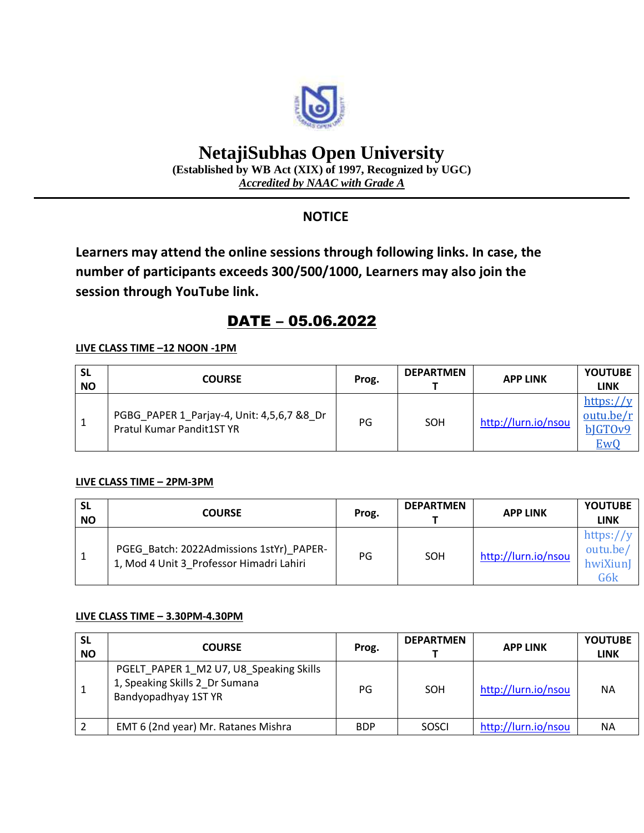

# **NetajiSubhas Open University**

**(Established by WB Act (XIX) of 1997, Recognized by UGC)** *Accredited by NAAC with Grade A*

### **NOTICE**

**Learners may attend the online sessions through following links. In case, the number of participants exceeds 300/500/1000, Learners may also join the session through YouTube link.**

## DATE – 05.06.2022

#### **LIVE CLASS TIME –12 NOON -1PM**

| <b>SL</b><br><b>NO</b> | <b>COURSE</b>                                                                  | Prog. | <b>DEPARTMEN</b> | <b>APP LINK</b>     | <b>YOUTUBE</b><br>LINK                   |
|------------------------|--------------------------------------------------------------------------------|-------|------------------|---------------------|------------------------------------------|
|                        | PGBG_PAPER 1_Parjay-4, Unit: 4,5,6,7 &8_Dr<br><b>Pratul Kumar Pandit1ST YR</b> | PG    | SOH              | http://lurn.io/nsou | https://y<br>outu.be/r<br>bJGTOv9<br>EwC |

#### **LIVE CLASS TIME – 2PM-3PM**

| <b>SL</b><br><b>NO</b> | <b>COURSE</b>                                                                        | Prog. | <b>DEPARTMEN</b> | <b>APP LINK</b>     | <b>YOUTUBE</b><br><b>LINK</b>               |
|------------------------|--------------------------------------------------------------------------------------|-------|------------------|---------------------|---------------------------------------------|
|                        | PGEG Batch: 2022Admissions 1stYr) PAPER-<br>1, Mod 4 Unit 3 Professor Himadri Lahiri | PG    | SOH              | http://lurn.io/nsou | https:// $y$<br>outu.be/<br>hwiXiunI<br>G6k |

#### **LIVE CLASS TIME – 3.30PM-4.30PM**

| <b>SL</b><br><b>NO</b> | <b>COURSE</b>                                                                                     | Prog.      | <b>DEPARTMEN</b> | <b>APP LINK</b>     | <b>YOUTUBE</b><br><b>LINK</b> |
|------------------------|---------------------------------------------------------------------------------------------------|------------|------------------|---------------------|-------------------------------|
|                        | PGELT PAPER 1 M2 U7, U8 Speaking Skills<br>1, Speaking Skills 2_Dr Sumana<br>Bandyopadhyay 1ST YR | PG         | SOH              | http://lurn.io/nsou | <b>NA</b>                     |
|                        | EMT 6 (2nd year) Mr. Ratanes Mishra                                                               | <b>BDP</b> | <b>SOSCI</b>     | http://lurn.io/nsou | <b>NA</b>                     |